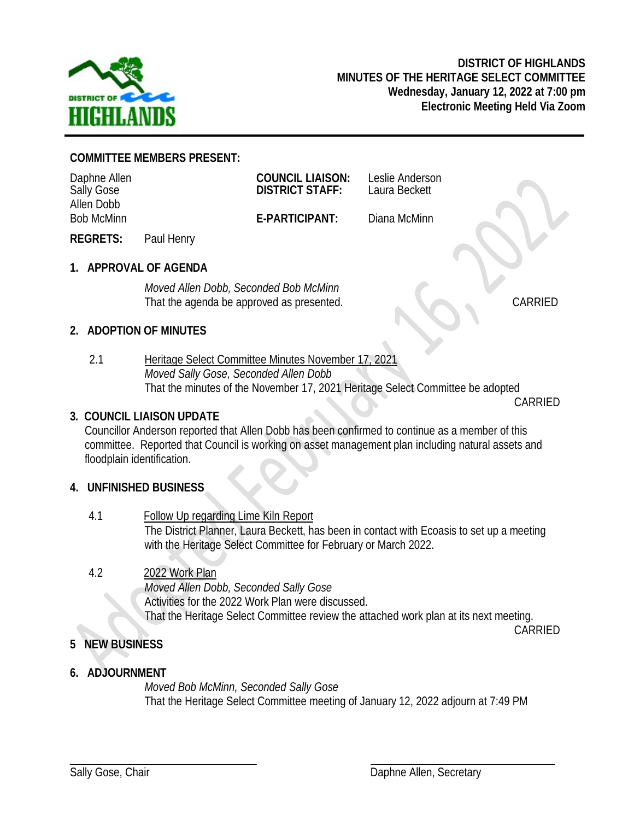

#### **COMMITTEE MEMBERS PRESENT:**

| Daphne Allen<br><b>Sally Gose</b> |            | <b>COUNCIL LIAISON:</b><br><b>DISTRICT STAFF:</b> | Leslie Anderson<br>Laura Beckett |  |
|-----------------------------------|------------|---------------------------------------------------|----------------------------------|--|
| Allen Dobb<br><b>Bob McMinn</b>   |            | E-PARTICIPANT:                                    | Diana McMinn                     |  |
| <b>REGRETS:</b>                   | Paul Henry |                                                   |                                  |  |

**1. APPROVAL OF AGENDA**

*Moved Allen Dobb, Seconded Bob McMinn* That the agenda be approved as presented. CARRIED

## **2. ADOPTION OF MINUTES**

2.1 Heritage Select Committee Minutes November 17, 2021 *Moved Sally Gose, Seconded Allen Dobb* That the minutes of the November 17, 2021 Heritage Select Committee be adopted CARRIED

## **3***.* **COUNCIL LIAISON UPDATE**

Councillor Anderson reported that Allen Dobb has been confirmed to continue as a member of this committee. Reported that Council is working on asset management plan including natural assets and floodplain identification.

## **4. UNFINISHED BUSINESS**

4.1 Follow Up regarding Lime Kiln Report The District Planner, Laura Beckett, has been in contact with Ecoasis to set up a meeting with the Heritage Select Committee for February or March 2022.

## 4.2 2022 Work Plan

*Moved Allen Dobb, Seconded Sally Gose* Activities for the 2022 Work Plan were discussed. That the Heritage Select Committee review the attached work plan at its next meeting. CARRIED

## **5 NEW BUSINESS**

## **6. ADJOURNMENT**

*Moved Bob McMinn, Seconded Sally Gose* That the Heritage Select Committee meeting of January 12, 2022 adjourn at 7:49 PM